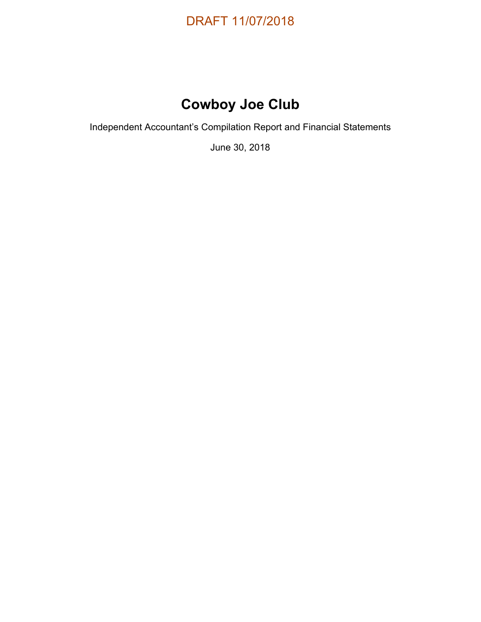

# **Cowboy Joe Club**

Independent Accountant's Compilation Report and Financial Statements

June 30, 2018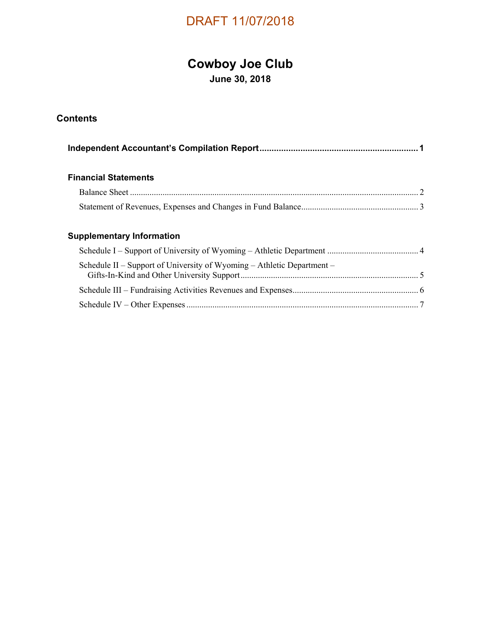# **Cowboy Joe Club**

**June 30, 2018** 

#### **Contents**

#### **Financial Statements**

#### **Supplementary Information**

| Schedule II – Support of University of Wyoming – Athletic Department – |  |
|------------------------------------------------------------------------|--|
|                                                                        |  |
|                                                                        |  |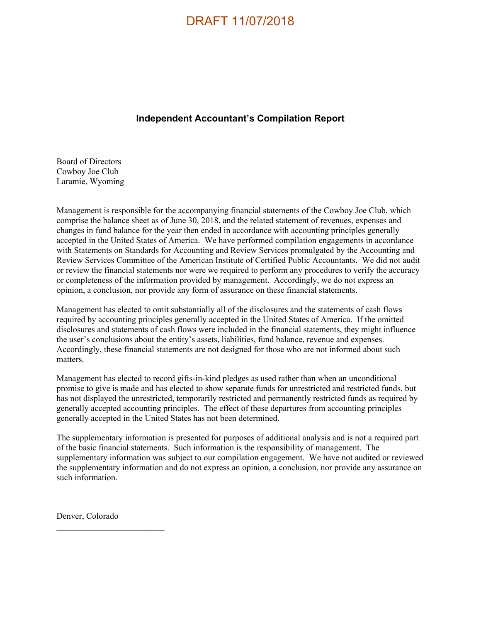#### **Independent Accountant's Compilation Report**

Board of Directors Cowboy Joe Club Laramie, Wyoming

Management is responsible for the accompanying financial statements of the Cowboy Joe Club, which comprise the balance sheet as of June 30, 2018, and the related statement of revenues, expenses and changes in fund balance for the year then ended in accordance with accounting principles generally accepted in the United States of America. We have performed compilation engagements in accordance with Statements on Standards for Accounting and Review Services promulgated by the Accounting and Review Services Committee of the American Institute of Certified Public Accountants. We did not audit or review the financial statements nor were we required to perform any procedures to verify the accuracy or completeness of the information provided by management. Accordingly, we do not express an opinion, a conclusion, nor provide any form of assurance on these financial statements.

Management has elected to omit substantially all of the disclosures and the statements of cash flows required by accounting principles generally accepted in the United States of America. If the omitted disclosures and statements of cash flows were included in the financial statements, they might influence the user's conclusions about the entity's assets, liabilities, fund balance, revenue and expenses. Accordingly, these financial statements are not designed for those who are not informed about such matters.

Management has elected to record gifts-in-kind pledges as used rather than when an unconditional promise to give is made and has elected to show separate funds for unrestricted and restricted funds, but has not displayed the unrestricted, temporarily restricted and permanently restricted funds as required by generally accepted accounting principles. The effect of these departures from accounting principles generally accepted in the United States has not been determined.

The supplementary information is presented for purposes of additional analysis and is not a required part of the basic financial statements. Such information is the responsibility of management. The supplementary information was subject to our compilation engagement. We have not audited or reviewed the supplementary information and do not express an opinion, a conclusion, nor provide any assurance on such information.

Denver, Colorado

 $\mathcal{L}_\text{max}$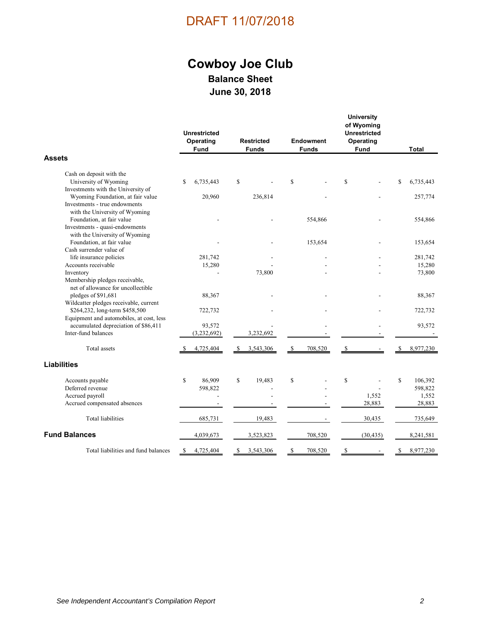### **Cowboy Joe Club Balance Sheet June 30, 2018**

|                                                                      | <b>Unrestricted</b><br>Operating<br>Fund | <b>Restricted</b><br><b>Funds</b> | <b>Endowment</b><br><b>Funds</b> | <b>University</b><br>of Wyoming<br><b>Unrestricted</b><br>Operating<br>Fund | <b>Total</b>    |
|----------------------------------------------------------------------|------------------------------------------|-----------------------------------|----------------------------------|-----------------------------------------------------------------------------|-----------------|
| <b>Assets</b>                                                        |                                          |                                   |                                  |                                                                             |                 |
| Cash on deposit with the                                             |                                          |                                   |                                  |                                                                             |                 |
| University of Wyoming                                                | \$<br>6,735,443                          | \$                                | \$                               | \$                                                                          | \$<br>6,735,443 |
| Investments with the University of                                   |                                          |                                   |                                  |                                                                             |                 |
| Wyoming Foundation, at fair value                                    | 20,960                                   | 236,814                           |                                  |                                                                             | 257,774         |
| Investments - true endowments                                        |                                          |                                   |                                  |                                                                             |                 |
| with the University of Wyoming                                       |                                          |                                   |                                  |                                                                             |                 |
| Foundation, at fair value                                            |                                          |                                   | 554,866                          |                                                                             | 554,866         |
| Investments - quasi-endowments                                       |                                          |                                   |                                  |                                                                             |                 |
| with the University of Wyoming                                       |                                          |                                   |                                  |                                                                             |                 |
| Foundation, at fair value                                            |                                          |                                   | 153,654                          |                                                                             | 153,654         |
| Cash surrender value of                                              |                                          |                                   |                                  |                                                                             |                 |
| life insurance policies                                              | 281,742                                  |                                   |                                  |                                                                             | 281,742         |
| Accounts receivable                                                  | 15,280                                   |                                   |                                  |                                                                             | 15,280          |
| Inventory                                                            |                                          | 73,800                            |                                  |                                                                             | 73,800          |
| Membership pledges receivable,<br>net of allowance for uncollectible |                                          |                                   |                                  |                                                                             |                 |
| pledges of \$91,681                                                  | 88,367                                   |                                   |                                  |                                                                             | 88,367          |
| Wildcatter pledges receivable, current                               |                                          |                                   |                                  |                                                                             |                 |
| \$264,232, long-term \$458,500                                       | 722,732                                  |                                   |                                  |                                                                             | 722,732         |
| Equipment and automobiles, at cost, less                             |                                          |                                   |                                  |                                                                             |                 |
| accumulated depreciation of \$86,411                                 | 93,572                                   |                                   |                                  |                                                                             | 93,572          |
| Inter-fund balances                                                  | (3,232,692)                              | 3,232,692                         |                                  |                                                                             |                 |
| Total assets                                                         | 4,725,404                                | \$<br>3,543,306                   | 708,520<br>\$                    | \$                                                                          | 8,977,230<br>\$ |
| <b>Liabilities</b>                                                   |                                          |                                   |                                  |                                                                             |                 |
| Accounts payable                                                     | \$<br>86,909                             | \$<br>19,483                      | \$                               | \$                                                                          | \$<br>106,392   |
| Deferred revenue                                                     | 598,822                                  |                                   |                                  |                                                                             | 598,822         |
| Accrued payroll                                                      |                                          |                                   |                                  | 1,552                                                                       | 1,552           |
| Accrued compensated absences                                         | $\overline{\phantom{a}}$                 |                                   |                                  | 28,883                                                                      | 28,883          |
| <b>Total liabilities</b>                                             | 685,731                                  | 19,483                            |                                  | 30,435                                                                      | 735,649         |
| <b>Fund Balances</b>                                                 | 4,039,673                                | 3,523,823                         | 708,520                          | (30, 435)                                                                   | 8,241,581       |
| Total liabilities and fund balances                                  | 4,725,404<br>S                           | 3,543,306                         | 708,520                          | \$                                                                          | 8,977,230       |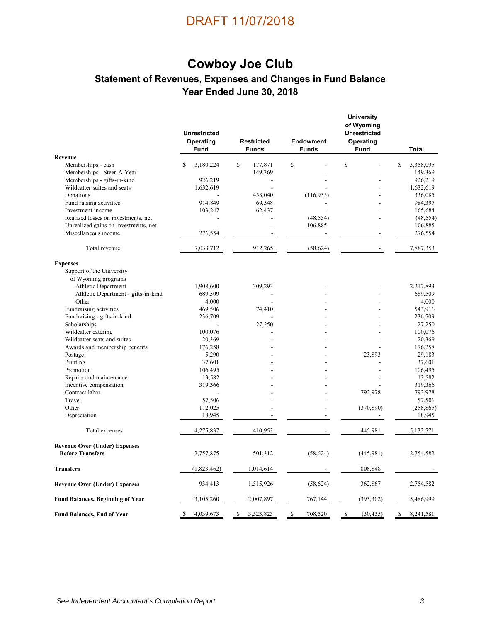### **Cowboy Joe Club Statement of Revenues, Expenses and Changes in Fund Balance Year Ended June 30, 2018**

|                                         | <b>Unrestricted</b><br>Operating<br>Fund | <b>Restricted</b><br><b>Funds</b> | <b>Endowment</b><br><b>Funds</b> | <b>University</b><br>of Wyoming<br><b>Unrestricted</b><br>Operating<br>Fund | <b>Total</b>    |
|-----------------------------------------|------------------------------------------|-----------------------------------|----------------------------------|-----------------------------------------------------------------------------|-----------------|
| Revenue                                 |                                          |                                   |                                  |                                                                             |                 |
| Memberships - cash                      | \$<br>3,180,224                          | \$<br>177,871                     | \$                               | \$                                                                          | \$<br>3,358,095 |
| Memberships - Steer-A-Year              |                                          | 149,369                           |                                  |                                                                             | 149,369         |
| Memberships - gifts-in-kind             | 926,219                                  | $\overline{a}$                    |                                  |                                                                             | 926,219         |
| Wildcatter suites and seats             | 1,632,619                                |                                   |                                  |                                                                             | 1,632,619       |
| Donations                               |                                          | 453,040                           | (116,955)                        |                                                                             | 336,085         |
| Fund raising activities                 | 914,849                                  | 69,548                            |                                  |                                                                             | 984,397         |
| Investment income                       | 103,247                                  | 62,437                            |                                  |                                                                             | 165,684         |
| Realized losses on investments, net     |                                          |                                   | (48, 554)                        |                                                                             | (48, 554)       |
| Unrealized gains on investments, net    |                                          |                                   | 106,885                          | $\overline{a}$                                                              | 106,885         |
| Miscellaneous income                    | 276,554                                  |                                   |                                  |                                                                             | 276,554         |
| Total revenue                           | 7,033,712                                | 912,265                           | (58, 624)                        |                                                                             | 7,887,353       |
| <b>Expenses</b>                         |                                          |                                   |                                  |                                                                             |                 |
| Support of the University               |                                          |                                   |                                  |                                                                             |                 |
| of Wyoming programs                     |                                          |                                   |                                  |                                                                             |                 |
| Athletic Department                     | 1,908,600                                | 309,293                           |                                  |                                                                             | 2,217,893       |
| Athletic Department - gifts-in-kind     | 689,509                                  |                                   |                                  |                                                                             | 689,509         |
| Other                                   | 4,000                                    |                                   |                                  |                                                                             | 4,000           |
| Fundraising activities                  | 469,506                                  | 74,410                            |                                  |                                                                             | 543,916         |
| Fundraising - gifts-in-kind             | 236,709                                  |                                   |                                  |                                                                             | 236,709         |
| Scholarships                            |                                          | 27,250                            |                                  |                                                                             | 27,250          |
| Wildcatter catering                     | 100,076                                  |                                   |                                  |                                                                             | 100,076         |
| Wildcatter seats and suites             | 20,369                                   |                                   |                                  |                                                                             | 20,369          |
| Awards and membership benefits          | 176,258                                  |                                   |                                  |                                                                             | 176,258         |
| Postage                                 | 5,290                                    |                                   |                                  | 23,893                                                                      | 29,183          |
| Printing                                | 37,601                                   |                                   |                                  |                                                                             | 37,601          |
| Promotion                               | 106,495                                  |                                   |                                  |                                                                             | 106,495         |
| Repairs and maintenance                 | 13,582                                   |                                   |                                  |                                                                             | 13,582          |
| Incentive compensation                  | 319,366                                  |                                   |                                  |                                                                             | 319,366         |
| Contract labor                          |                                          |                                   |                                  | 792,978                                                                     | 792,978         |
| Travel                                  | 57,506                                   |                                   |                                  |                                                                             | 57,506          |
| Other                                   | 112,025                                  |                                   |                                  | (370, 890)                                                                  | (258, 865)      |
| Depreciation                            | 18,945                                   |                                   |                                  |                                                                             | 18,945          |
| Total expenses                          | 4,275,837                                | 410,953                           |                                  | 445,981                                                                     | 5,132,771       |
| <b>Revenue Over (Under) Expenses</b>    |                                          |                                   |                                  |                                                                             |                 |
| <b>Before Transfers</b>                 | 2,757,875                                | 501,312                           | (58, 624)                        | (445, 981)                                                                  | 2,754,582       |
| <b>Transfers</b>                        | (1,823,462)                              | 1,014,614                         |                                  | 808,848                                                                     |                 |
| <b>Revenue Over (Under) Expenses</b>    | 934,413                                  | 1,515,926                         | (58, 624)                        | 362,867                                                                     | 2,754,582       |
| <b>Fund Balances, Beginning of Year</b> | 3,105,260                                | 2,007,897                         | 767,144                          | (393, 302)                                                                  | 5,486,999       |
| <b>Fund Balances, End of Year</b>       | 4,039,673<br>\$                          | 3,523,823<br>\$                   | 708,520<br>\$                    | \$<br>(30, 435)                                                             | \$<br>8,241,581 |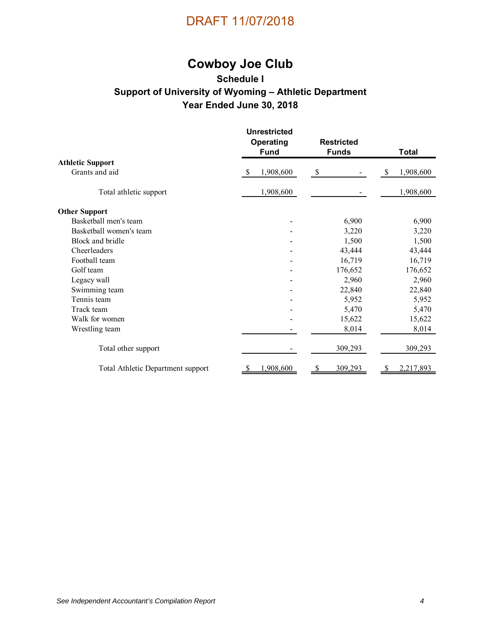

# **Cowboy Joe Club**

#### **Schedule I Support of University of Wyoming – Athletic Department Year Ended June 30, 2018**

|                                   | <b>Unrestricted</b><br><b>Operating</b><br><b>Fund</b> | <b>Restricted</b><br><b>Funds</b> | <b>Total</b>    |  |  |
|-----------------------------------|--------------------------------------------------------|-----------------------------------|-----------------|--|--|
| <b>Athletic Support</b>           |                                                        |                                   |                 |  |  |
| Grants and aid                    | 1,908,600<br><b>S</b>                                  | \$                                | 1,908,600<br>-S |  |  |
| Total athletic support            | 1,908,600                                              |                                   | 1,908,600       |  |  |
| <b>Other Support</b>              |                                                        |                                   |                 |  |  |
| Basketball men's team             |                                                        | 6,900                             | 6,900           |  |  |
| Basketball women's team           |                                                        | 3,220                             | 3,220           |  |  |
| Block and bridle                  |                                                        | 1,500                             | 1,500           |  |  |
| Cheerleaders                      |                                                        | 43,444                            | 43,444          |  |  |
| Football team                     |                                                        | 16,719                            | 16,719          |  |  |
| Golf team                         |                                                        | 176,652                           | 176,652         |  |  |
| Legacy wall                       |                                                        | 2,960                             | 2,960           |  |  |
| Swimming team                     |                                                        | 22,840                            | 22,840          |  |  |
| Tennis team                       |                                                        | 5,952                             | 5,952           |  |  |
| Track team                        |                                                        | 5,470                             | 5,470           |  |  |
| Walk for women                    |                                                        | 15,622                            | 15,622          |  |  |
| Wrestling team                    |                                                        | 8,014                             | 8,014           |  |  |
| Total other support               |                                                        | 309,293                           | 309,293         |  |  |
| Total Athletic Department support | 1,908,600                                              | 309,293                           | 2,217,893       |  |  |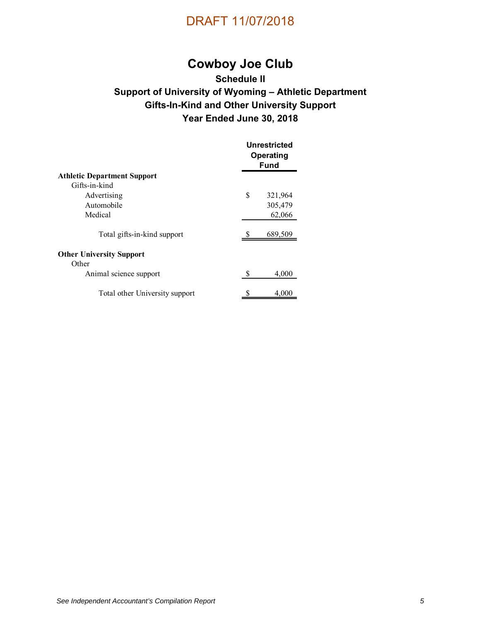

# **Cowboy Joe Club**

#### **Schedule II Support of University of Wyoming – Athletic Department Gifts-In-Kind and Other University Support Year Ended June 30, 2018**

|                                          |    | <b>Unrestricted</b><br>Operating<br><b>Fund</b> |  |  |  |
|------------------------------------------|----|-------------------------------------------------|--|--|--|
| <b>Athletic Department Support</b>       |    |                                                 |  |  |  |
| Gifts-in-kind                            |    |                                                 |  |  |  |
| Advertising                              | \$ | 321,964                                         |  |  |  |
| Automobile                               |    | 305,479                                         |  |  |  |
| Medical                                  |    | 62,066                                          |  |  |  |
| Total gifts-in-kind support              |    | 689,509                                         |  |  |  |
| <b>Other University Support</b><br>Other |    |                                                 |  |  |  |
| Animal science support                   | S  | 4,000                                           |  |  |  |
| Total other University support           | S  | 4,000                                           |  |  |  |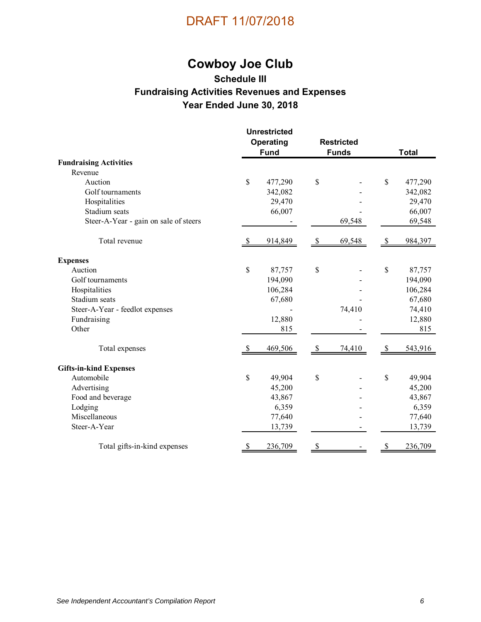# **Cowboy Joe Club**

#### **Schedule III Fundraising Activities Revenues and Expenses Year Ended June 30, 2018**

|                                       | <b>Unrestricted</b> |             |                      |              |               |              |
|---------------------------------------|---------------------|-------------|----------------------|--------------|---------------|--------------|
|                                       | Operating           |             | <b>Restricted</b>    |              |               |              |
|                                       |                     | <b>Fund</b> |                      | <b>Funds</b> |               | <b>Total</b> |
| <b>Fundraising Activities</b>         |                     |             |                      |              |               |              |
| Revenue                               |                     |             |                      |              |               |              |
| Auction                               | \$                  | 477,290     | \$                   |              | $\mathcal{S}$ | 477,290      |
| Golf tournaments                      |                     | 342,082     |                      |              |               | 342,082      |
| Hospitalities                         |                     | 29,470      |                      |              |               | 29,470       |
| Stadium seats                         |                     | 66,007      |                      |              |               | 66,007       |
| Steer-A-Year - gain on sale of steers |                     |             |                      | 69,548       |               | 69,548       |
| Total revenue                         | -S                  | 914,849     | $\sqrt{\frac{2}{5}}$ | 69,548       | -S            | 984,397      |
| <b>Expenses</b>                       |                     |             |                      |              |               |              |
| Auction                               | \$                  | 87,757      | \$                   |              | \$            | 87,757       |
| Golf tournaments                      |                     | 194,090     |                      |              |               | 194,090      |
| Hospitalities                         |                     | 106,284     |                      |              |               | 106,284      |
| Stadium seats                         |                     | 67,680      |                      |              |               | 67,680       |
| Steer-A-Year - feedlot expenses       |                     |             |                      | 74,410       |               | 74,410       |
| Fundraising                           |                     | 12,880      |                      |              |               | 12,880       |
| Other                                 |                     | 815         |                      |              |               | 815          |
| Total expenses                        | -S                  | 469,506     | -\$                  | 74,410       | -8            | 543,916      |
| <b>Gifts-in-kind Expenses</b>         |                     |             |                      |              |               |              |
| Automobile                            | \$                  | 49,904      | \$                   |              | $\mathcal{S}$ | 49,904       |
| Advertising                           |                     | 45,200      |                      |              |               | 45,200       |
| Food and beverage                     |                     | 43,867      |                      |              |               | 43,867       |
| Lodging                               |                     | 6,359       |                      |              |               | 6,359        |
| Miscellaneous                         |                     | 77,640      |                      |              |               | 77,640       |
| Steer-A-Year                          |                     | 13,739      |                      |              |               | 13,739       |
| Total gifts-in-kind expenses          |                     | 236,709     | \$                   |              |               | 236,709      |